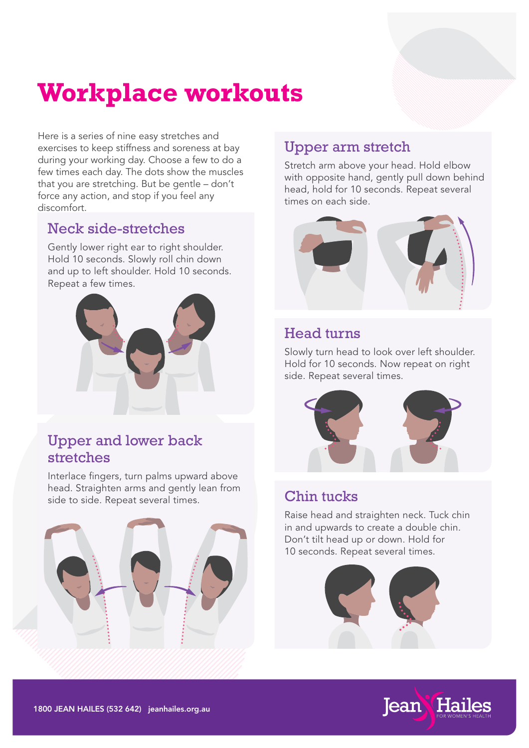# **Workplace workouts**

Here is a series of nine easy stretches and exercises to keep stiffness and soreness at bay during your working day. Choose a few to do a few times each day. The dots show the muscles that you are stretching. But be gentle – don't force any action, and stop if you feel any discomfort.

## Neck side-stretches

Gently lower right ear to right shoulder. Hold 10 seconds. Slowly roll chin down and up to left shoulder. Hold 10 seconds. Repeat a few times.



## Upper and lower back stretches

Interlace fingers, turn palms upward above head. Straighten arms and gently lean from side to side. Repeat several times.



# Upper arm stretch

Stretch arm above your head. Hold elbow with opposite hand, gently pull down behind head, hold for 10 seconds. Repeat several times on each side.



## Head turns

Slowly turn head to look over left shoulder. Hold for 10 seconds. Now repeat on right side. Repeat several times.



## Chin tucks

Raise head and straighten neck. Tuck chin in and upwards to create a double chin. Don't tilt head up or down. Hold for 10 seconds. Repeat several times.